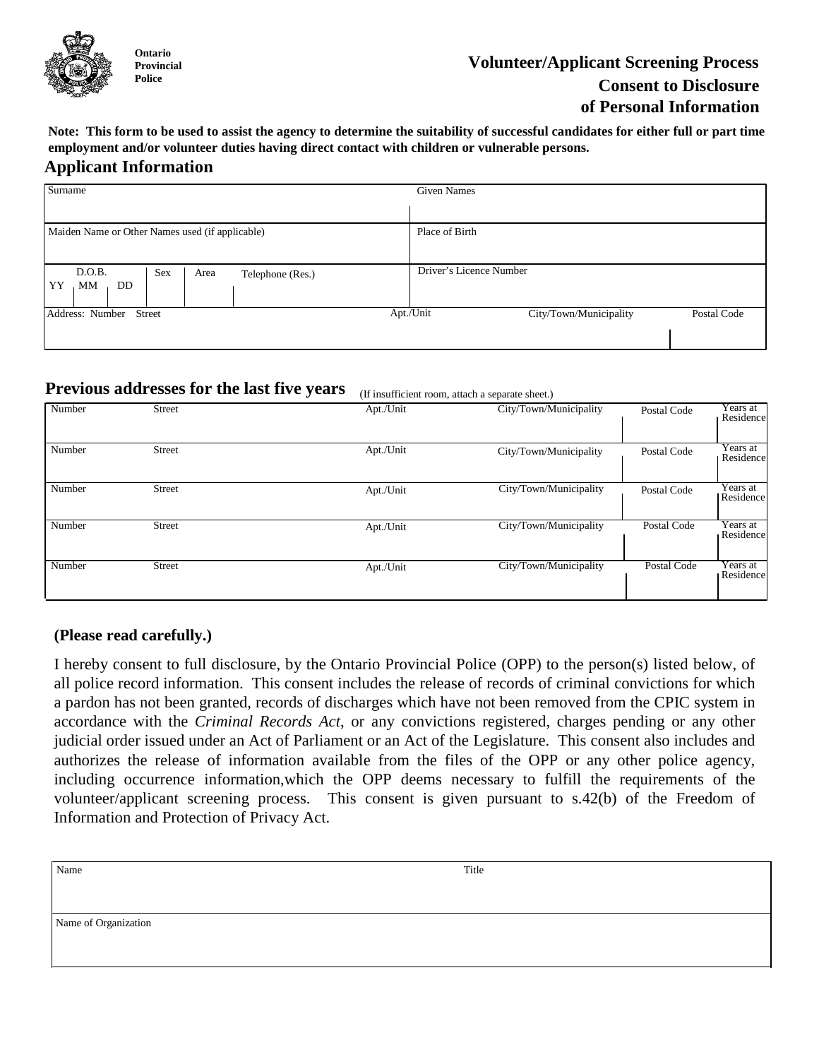

# **Volunteer/Applicant Screening Process Consent to Disclosure of Personal Information**

**Note: This form to be used to assist the agency to determine the suitability of successful candidates for either full or part time employment and/or volunteer duties having direct contact with children or vulnerable persons.**

### **Applicant Information**

| Surname                                                      | <b>Given Names</b>                                 |  |
|--------------------------------------------------------------|----------------------------------------------------|--|
|                                                              |                                                    |  |
| Maiden Name or Other Names used (if applicable)              | Place of Birth                                     |  |
|                                                              |                                                    |  |
| D.O.B.<br>Sex<br>Area<br>Telephone (Res.)<br>YY<br>DD.<br>MM | Driver's Licence Number                            |  |
|                                                              |                                                    |  |
| Address: Number<br>Street                                    | Apt./Unit<br>City/Town/Municipality<br>Postal Code |  |
|                                                              |                                                    |  |
|                                                              |                                                    |  |

#### **Previous addresses for the last five years** (If insufficient room, attach a separate sheet.)

| Number | <b>Street</b> | Apt./Unit | City/Town/Municipality | Postal Code | Years at<br>Residence |
|--------|---------------|-----------|------------------------|-------------|-----------------------|
| Number | <b>Street</b> | Apt./Unit | City/Town/Municipality | Postal Code | Years at<br>Residence |
| Number | <b>Street</b> | Apt./Unit | City/Town/Municipality | Postal Code | Years at<br>Residence |
| Number | <b>Street</b> | Apt./Unit | City/Town/Municipality | Postal Code | Years at<br>Residence |
| Number | <b>Street</b> | Apt./Unit | City/Town/Municipality | Postal Code | Years at<br>Residence |

## **(Please read carefully.)**

I hereby consent to full disclosure, by the Ontario Provincial Police (OPP) to the person(s) listed below, of all police record information. This consent includes the release of records of criminal convictions for which a pardon has not been granted, records of discharges which have not been removed from the CPIC system in accordance with the *Criminal Records Act*, or any convictions registered, charges pending or any other judicial order issued under an Act of Parliament or an Act of the Legislature. This consent also includes and authorizes the release of information available from the files of the OPP or any other police agency, including occurrence information,which the OPP deems necessary to fulfill the requirements of the volunteer/applicant screening process. This consent is given pursuant to s.42(b) of the Freedom of Information and Protection of Privacy Act.

| Name                 | Title |  |  |  |
|----------------------|-------|--|--|--|
|                      |       |  |  |  |
| Name of Organization |       |  |  |  |
|                      |       |  |  |  |
|                      |       |  |  |  |